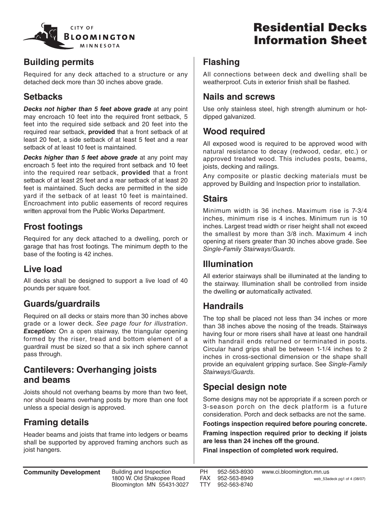

# **Residential Decks Information Sheet**

### **Building permits**

Required for any deck attached to a structure or any detached deck more than 30 inches above grade.

## **Setbacks**

*Decks not higher than 5 feet above grade* at any point may encroach 10 feet into the required front setback, 5 feet into the required side setback and 20 feet into the required rear setback, **provided** that a front setback of at least 20 feet, a side setback of at least 5 feet and a rear setback of at least 10 feet is maintained.

*Decks higher than 5 feet above grade* at any point may encroach 5 feet into the required front setback and 10 feet into the required rear setback, **provided** that a front setback of at least 25 feet and a rear setback of at least 20 feet is maintained. Such decks are permitted in the side yard if the setback of at least 10 feet is maintained. Encroachment into public easements of record requires written approval from the Public Works Department.

## **Frost footings**

Required for any deck attached to a dwelling, porch or garage that has frost footings. The minimum depth to the base of the footing is 42 inches.

## **Live load**

All decks shall be designed to support a live load of 40 pounds per square foot.

## **Guards/guardrails**

Required on all decks or stairs more than 30 inches above grade or a lower deck. See page four for illustration. **Exception:** On a open stairway, the triangular opening formed by the riser, tread and bottom element of a guardrail must be sized so that a six inch sphere cannot pass through.

#### **Cantilevers: Overhanging joists and beams**

Joists should not overhang beams by more than two feet, nor should beams overhang posts by more than one foot unless a special design is approved.

## **Framing details**

Header beams and joists that frame into ledgers or beams shall be supported by approved framing anchors such as joist hangers.

### **Flashing**

All connections between deck and dwelling shall be weatherproof. Cuts in exterior finish shall be flashed.

#### **Nails and screws**

Use only stainless steel, high strength aluminum or hotdipped galvanized.

## **Wood required**

All exposed wood is required to be approved wood with natural resistance to decay (redwood, cedar, etc.) or approved treated wood. This includes posts, beams, joists, decking and railings.

Any composite or plastic decking materials must be approved by Building and Inspection prior to installation.

### **Stairs**

Minimum width is 36 inches. Maximum rise is 7-3/4 inches, minimum rise is 4 inches. Minimum run is 10 inches. Largest tread width or riser height shall not exceed the smallest by more than 3/8 inch. Maximum 4 inch opening at risers greater than 30 inches above grade. See Single-Family Stairways/Guards.

### **Illumination**

All exterior stairways shall be illuminated at the landing to the stairway. Illumination shall be controlled from inside the dwelling **or** automatically activated.

### **Handrails**

The top shall be placed not less than 34 inches or more than 38 inches above the nosing of the treads. Stairways having four or more risers shall have at least one handrail with handrail ends returned or terminated in posts. Circular hand grips shall be between 1-1/4 inches to 2 inches in cross-sectional dimension or the shape shall provide an equivalent gripping surface. See Single-Family Stairways/Guards.

## **Special design note**

Some designs may not be appropriate if a screen porch or 3-season porch on the deck platform is a future consideration. Porch and deck setbacks are not the same.

**Footings inspection required before pouring concrete.**

**Framing inspection required prior to decking if joists are less than 24 inches off the ground.**

**Final inspection of completed work required.**

**Community Development** Building and Inspection

1800 W. Old Shakopee Road Bloomington MN 55431-3027 PH 952-563-8930<br>FAX 952-563-8949 FAX 952-563-8949 952-563-8740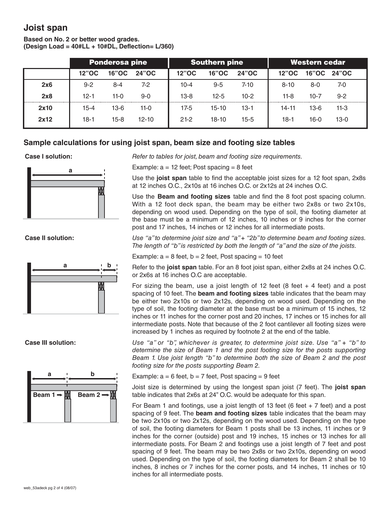#### **Joist span**

#### **Based on No. 2 or better wood grades. (Design Load = 40#LL + 10#DL, Deflection= L/360)**

|      |          | <b>Ponderosa pine</b> |           |              | <b>Southern pine</b> |          | Western cedar |              |         |  |
|------|----------|-----------------------|-----------|--------------|----------------------|----------|---------------|--------------|---------|--|
|      | 12"OC    | <b>16"OC</b>          | 24"OC     | <b>12"OC</b> | <b>16"OC</b>         | 24"OC    | 12"OC         | <b>16"OC</b> | 24"OC   |  |
| 2x6  | $9 - 2$  | $8 - 4$               | 7-2       | 10-4         | $9 - 5$              | $7 - 10$ | $8 - 10$      | 8-0          | 7-0     |  |
| 2x8  | $12-1$   | $11-0$                | $9 - 0$   | $13-8$       | $12 - 5$             | $10-2$   | $11-8$        | $10-7$       | $9 - 2$ |  |
| 2x10 | $15 - 4$ | $13-6$                | $11-0$    | 17-5         | $15-10$              | $13 - 1$ | $14 - 11$     | $13-6$       | $11-3$  |  |
| 2x12 | $18-1$   | $15 - 8$              | $12 - 10$ | $21-2$       | $18-10$              | $15 - 5$ | 18-1          | 16-0         | $13-0$  |  |

#### **Sample calculations for using joist span, beam size and footing size tables**







**Case I solution:** *Refer to tables for joist, beam and footing size requirements.*

Example:  $a = 12$  feet; Post spacing = 8 feet

Use the **joist span** table to find the acceptable joist sizes for a 12 foot span, 2x8s at 12 inches O.C., 2x10s at 16 inches O.C. or 2x12s at 24 inches O.C.

Use the **Beam and footing sizes** table and find the 8 foot post spacing column. With a 12 foot deck span, the beam may be either two 2x8s or two 2x10s, depending on wood used. Depending on the type of soil, the footing diameter at the base must be a minimum of 12 inches, 10 inches or 9 inches for the corner post and 17 inches, 14 inches or 12 inches for all intermediate posts.

**Case II solution:** *Use "a" to determine joist size and "a" + "2b" to determine beam and footing sizes. The length of "b" is restricted by both the length of "a" and the size of the joists.*

Example:  $a = 8$  feet,  $b = 2$  feet, Post spacing = 10 feet

Refer to the **joist span** table. For an 8 foot joist span, either 2x8s at 24 inches O.C. or 2x6s at 16 inches O.C are acceptable.

For sizing the beam, use a joist length of 12 feet  $(8 \text{ feet } + 4 \text{ feet})$  and a post spacing of 10 feet. The **beam and footing sizes** table indicates that the beam may be either two 2x10s or two 2x12s, depending on wood used. Depending on the type of soil, the footing diameter at the base must be a minimum of 15 inches, 12 inches or 11 inches for the corner post and 20 inches, 17 inches or 15 inches for all intermediate posts. Note that because of the 2 foot cantilever all footing sizes were increased by 1 inches as required by footnote 2 at the end of the table.

**Case III solution:** *Use "a" or "b", whichever is greater, to determine joist size. Use "a" + "b" to determine the size of Beam 1 and the post footing size for the posts supporting Beam 1. Use joist length "b" to determine both the size of Beam 2 and the post footing size for the posts supporting Beam 2.*

Example:  $a = 6$  feet,  $b = 7$  feet, Post spacing = 9 feet

Joist size is determined by using the longest span joist (7 feet). The **joist span** table indicates that 2x6s at 24" O.C. would be adequate for this span.

For Beam 1 and footings, use a joist length of 13 feet (6 feet  $+ 7$  feet) and a post spacing of 9 feet. The **beam and footing sizes** table indicates that the beam may be two 2x10s or two 2x12s, depending on the wood used. Depending on the type of soil, the footing diameters for Beam 1 posts shall be 13 inches, 11 inches or 9 inches for the corner (outside) post and 19 inches, 15 inches or 13 inches for all intermediate posts. For Beam 2 and footings use a joist length of 7 feet and post spacing of 9 feet. The beam may be two 2x8s or two 2x10s, depending on wood used. Depending on the type of soil, the footing diameters for Beam 2 shall be 10 inches, 8 inches or 7 inches for the corner posts, and 14 inches, 11 inches or 10 inches for all intermediate posts.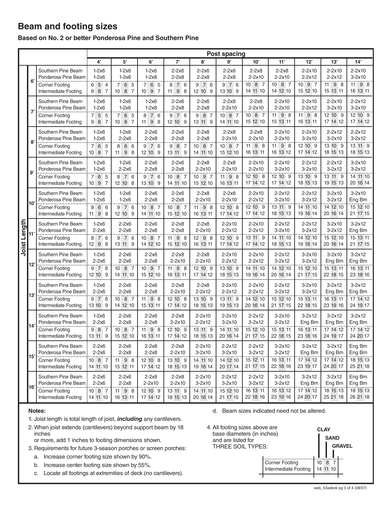### **Beam and footing sizes**

#### **Based on No. 2 or better Ponderosa Pine and Southern Pine**

|              |             | <b>Post spacing</b>                           |                                           |                                  |                                    |                                     |                                    |                               |                                        |                               |                               |                               |                        |
|--------------|-------------|-----------------------------------------------|-------------------------------------------|----------------------------------|------------------------------------|-------------------------------------|------------------------------------|-------------------------------|----------------------------------------|-------------------------------|-------------------------------|-------------------------------|------------------------|
|              |             |                                               | 4'                                        | ${\bf 5}^,$                      | 6'                                 | 7'                                  | 8'                                 | 9'                            | 10'                                    | 11'                           | 12'                           | 13'                           | 14'                    |
| Joist Length | $6^{\circ}$ | Southern Pine Beam<br>Ponderosa Pine Beam     | $1-2x6$<br>$1-2x6$                        | $1-2x6$<br>$1-2x6$               | $1-2x6$<br>$1-2x8$                 | $2-2x6$<br>$2-2x8$                  | $2-2x6$<br>$2-2x8$                 | $2-2x6$<br>$2-2x8$            | $2-2x8$<br>$2 - 2 \times 10$           | $2-2x8$<br>2-2x10             | $2-2x10$<br>$2 - 2 \times 12$ | $2-2x10$<br>$2 - 2 \times 12$ | $2-2x10$<br>$3-2x10$   |
|              |             | <b>Corner Footing</b><br>Intermediate Footing | 6<br>5 <sup>4</sup><br>9 8 7              | 7 6 5<br>10 8 7                  | 7 6 5<br>10 9 7                    | 7 6<br>8<br>$11$ $9$ $8$            | 7 6<br>9<br>12 10 9                | 9 7 6<br>13 10 9              | 1087<br>14 11 10                       | 10 8 7<br>14 12 10            | 10 9 7<br>15 12 10            | 11 9 8<br>15 13 11            | 98<br>11<br>16 13 11   |
|              | 7'          | Southern Pine Beam<br>Ponderosa Pine Beam     | $1-2x6$<br>$1-2x6$                        | $1-2x6$<br>$1-2x6$               | $1-2x6$<br>$1-2x8$                 | $2-2x6$<br>$2-2x8$                  | $2-2x6$<br>$2-2x8$                 | $2-2x8$<br>$2 - 2 \times 10$  | $2-2x8$<br>$2 - 2 \times 10$           | 2-2x10<br>$2 - 2 \times 10$   | $2-2x10$<br>$2 - 2 \times 12$ | $2-2x10$<br>$3-2x10$          | $2 - 2x12$<br>$3-2x10$ |
|              |             | <b>Corner Footing</b><br>Intermediate Footing | 5 <sub>5</sub><br>$\overline{7}$<br>9 8 7 | 7 6 5<br>10 8 7                  | 8<br>7 6<br>11 9 8                 | 9 7 6<br>12 10 9                    | 8 7<br>9<br>13 11 9                | 10 8 7<br>14 11 10            | 1087<br>15 12 10                       | 11<br>98<br>15 13 11          | 11<br>98<br>16 13 11          | 12 10 9<br>17 14 12           | 12 10 9<br>17 14 12    |
|              | 8           | Southern Pine Beam<br>Ponderosa Pine Beam     | $1-2x6$<br>$1-2x6$                        | $1-2x6$<br>$2-2x6$               | $2-2x6$<br>$2-2x8$                 | $2-2x6$<br>$2-2x8$                  | $2-2x8$<br>$2-2x8$                 | $2-2x8$<br>$2 - 2 \times 10$  | $2-2x8$<br>$2 - 2 \times 10$           | $2-2x10$<br>$2 - 2 \times 10$ | $2-2x10$<br>$3-2x10$          | $2 - 2 \times 12$<br>$3-2x10$ | $2 - 2x12$<br>$3-2x12$ |
|              |             | <b>Corner Footing</b><br>Intermediate Footing | 6 5<br>$7^{\circ}$<br>10 8 7              | 8<br>6 6<br>11 9 8               | 9 7 6<br>12 10 9                   | 9<br>8 7<br>13 11 9                 | 8 7<br>10 <sup>1</sup><br>14 11 10 | 10 8 7<br>15 12 10            | 11 9 8<br>16 13 11                     | 11<br>98<br>16 13 12          | 12 10 9<br>17 14 12           | 13 10 9<br>18 15 13           | 13 11 9<br>18 15 13    |
|              | 9'          | Southern Pine Beam<br>Ponderosa Pine Beam     | $1-2x6$<br>$1-2x6$                        | $1-2x6$<br>$2-2x6$               | $2-2x6$<br>$2-2x8$                 | $2-2x6$<br>$2-2x8$                  | $2-2x8$<br>$2 - 2 \times 10$       | $2-2x8$<br>$2 - 2 \times 10$  | $2 - 2 \times 10$<br>$2 - 2 \times 10$ | $2-2x10$<br>$3-2x10$          | $2 - 2 \times 12$<br>$3-2x10$ | $2 - 2 \times 12$<br>$3-2x12$ | $3-2x10$<br>$3-2x12$   |
|              |             | <b>Corner Footing</b><br>Intermediate Footing | 6 5<br>$7^{\circ}$<br>10 9 7              | 8 7 6<br>12 10 8                 | 9 7 6<br>13 10 9                   | 10 <sup>10</sup><br>8 7<br>14 11 10 | 9 7<br>10 <sup>1</sup><br>15 12 10 | 11 9 8<br>16 13 11            | 12 10 8<br>17 14 12                    | 12 10 9<br>17 14 12           | 13 10 9<br>18 15 13           | 13 11 9<br>19 15 13           | 14 11 10<br>20 16 14   |
|              | l10'        | Southern Pine Beam<br>Ponderosa Pine Beam     | $1-2x6$<br>$1-2x6$                        | $1-2x6$<br>$1-2x6$               | $2-2x6$<br>$2-2x8$                 | $2-2x6$<br>$2-2x8$                  | $2-2x8$<br>$2 - 2 \times 10$       | $2-2x8$<br>$2 - 2 \times 10$  | $2-2x10$<br>$2 - 2 \times 12$          | $2 - 2x12$<br>$3-2x10$        | $2 - 2 \times 12$<br>$3-2x12$ | $3-2x10$<br>$3-2x12$          | $3-2x10$<br>Eng Bm     |
|              |             | <b>Corner Footing</b><br>Intermediate Footing | 8<br>6 6<br>98<br>11                      | 976<br>12 10 9                   | 8 7<br>10 <sup>1</sup><br>14 11 10 | 10 8 7<br>15 12 10                  | 98<br>11<br>16 13 11               | 12 10 8<br>17 14 12           | 12 10 9<br>17 14 12                    | 13 11 9<br>18 15 13           | 14 11 10<br>19 16 14          | 14 12 10<br>20 16 14          | 15 12 10<br>21 17 15   |
|              | 11          | Southern Pine Beam<br>Ponderosa Pine Beam     | $1-2x6$<br>$2-2x6$                        | $2-2x6$<br>$2-2x6$               | $2-2x6$<br>$2-2x8$                 | $2-2x8$<br>$2-2x8$                  | $2-2x8$<br>$2 - 2 \times 10$       | $2-2x10$<br>$2 - 2 \times 12$ | $2-2x10$<br>$2 - 2 \times 12$          | $2 - 2x12$<br>$3-2x10$        | $2 - 2 \times 12$<br>$3-2x12$ | $3-2x10$<br>$3-2x12$          | $3-2x12$<br>Eng Bm     |
|              |             | <b>Corner Footing</b><br>Intermediate Footing | 8 7 6<br>12 9 8                           | 9 7 6<br>13 11 9                 | 10 8 7<br>14 12 10                 | $11$ $9$ $8$<br>15 12 10            | $12$ $9$ $8$<br>16 13 11           | 12 10 9<br>17 14 12           | 13 11 9<br>17 14 12                    | 14 11 10<br>18 15 13          | 14 12 10<br>19 16 14          | 15 12 10<br>20 16 14          | 15 13 11<br>21 17 15   |
|              | 12'         | Southern Pine Beam<br>Ponderosa Pine Beam     | $1-2x6$<br>$2-2x6$                        | $2-2x6$<br>$2-2x6$               | $2-2x6$<br>$2-2x8$                 | $2-2x8$<br>$2-2x10$                 | $2-2x8$<br>$2 - 2 \times 10$       | $2-2x10$<br>$2 - 2 \times 12$ | $2-2x10$<br>$2 - 2 \times 12$          | $2 - 2x12$<br>$3-2x12$        | $3-2x10$<br>$3-2x12$          | $3-2x10$<br>Eng Bm            | $3-2x12$<br>Eng Bm     |
|              |             | <b>Corner Footing</b><br>Intermediate Footing | 9 7 6<br>12 10 9                          | $10 \quad 8 \quad 7$<br>14 11 10 | 1097<br>15 12 10                   | 11 9 8<br>16 13 11                  | 12 10 9<br>17 14 12                | 13 10 9<br>18 15 13           | 14 11 10<br>19 16 14                   | 14 12 10<br>20 16 14          | 15 12 10<br>21 17 15          | 15 13 11<br>22 18 15          | 16 13 11<br>23 18 16   |
|              | l13'        | Southern Pine Beam<br>Ponderosa Pine Beam     | $1-2x6$<br>$2-2x6$                        | $2-2x6$<br>$2-2x6$               | $2-2x6$<br>$2-2x8$                 | $2-2x8$<br>$2-2x10$                 | $2-2x8$<br>$2 - 2 \times 12$       | $2-2x10$<br>$2 - 2 \times 12$ | $2 - 2 \times 10$<br>$2 - 2 \times 12$ | $2 - 2x12$<br>$3-2x12$        | $3-2x10$<br>$3-2x12$          | $3-2x12$<br>Eng Bm            | $3-2x12$<br>Eng Bm     |
|              |             | <b>Corner Footing</b><br>Intermediate Footing | 9 7 6<br>13 10 9                          | 10 8 7<br>14 12 10               | 11 9 8<br>15 13 11                 | 12 10 8<br>17 14 12                 | 13 10 9<br>18 15 13                | 13 11 9<br>19 15 13           | 14 12 10<br>20 16 14                   | 15 12 10<br>21 17 15          | 15 13 11<br>22 18 15          | 16 13 11<br>23 19 16          | 17 14 12<br>24 19 17   |
|              | l14'        | Southern Pine Beam<br>Ponderosa Pine Beam     | $1-2x6$<br>$2-2x6$                        | $2-2x6$<br>$2-2x8$               | $2-2x6$<br>$2-2x8$                 | $2-2x8$<br>$2-2x10$                 | $2-2x10$<br>$2 - 2 \times 12$      | $2-2x10$<br>$3-2x10$          | $2 - 2 \times 12$<br>$3-2x12$          | $3-2x10$<br>$3-2x12$          | $3-2x12$<br>Eng Bm            | $3-2x12$<br>Eng Bm            | $3-2x12$<br>Eng Bm     |
|              |             | <b>Corner Footing</b><br>Intermediate Footing | 9 8 7<br>13 11 9                          | 10 8 7<br>15 12 10               | $11$ $9$ $8$<br>16 13 11           | 12 10 9<br>17 14 12                 | 13 11 9<br>18 15 13                | 14 11 10<br>20 16 14          | 15 12 10<br>21 17 15                   | 15 13 11<br>22 18 15          | 16 13 11<br>23 18 16          | 17 14 12<br>24 19 17          | 17 14 12<br>24 20 17   |
|              | 15'         | Southern Pine Beam<br>Ponderosa Pine Beam     | $2-2x6$<br>$2-2x6$                        | $2-2x6$<br>$2 - 2x8$             | $2-2x8$<br>$2-2x8$                 | $2-2x8$<br>$2-2x10$                 | $2-2x10$<br>$3-2x10$               | $2 - 2 \times 12$<br>$3-2x10$ | $2 - 2 \times 12$<br>$3-2x12$          | $3-2x10$<br>$3-2x12$          | $3-2x12$<br>Eng Bm            | $3-2x12$<br>Eng Bm            | Eng Bm<br>Eng Bm       |
|              |             | <b>Corner Footing</b><br>Intermediate Footing | 10 8 7<br>14 11 10                        | 11 9 8<br>15 12 11               | 12 10 8<br>17 14 12                | 13 10 9<br>18 15 13                 | 14 11 10<br>19 16 14               | 14 12 10<br>20 17 14          | 15 12 11<br>21 17 15                   | 16 13 11<br>22 18 16          | 17 14 12<br>23 19 17          | 17 14 12<br>24 20 17          | 18 15 13<br>25 21 18   |
|              |             | Southern Pine Beam<br>Ponderosa Pine Beam     | $2-2x6$<br>$2-2x6$                        | $2-2x6$<br>$2 - 2x8$             | $2-2x8$<br>2-2x10                  | $2-2x8$<br>$2-2x10$                 | $2 - 2 \times 10$<br>$3-2x10$      | $2 - 2x12$<br>$3-2x10$        | $2 - 2 \times 12$<br>$3-2x12$          | $3-2x10$<br>$3-2x12$          | $3-2x12$<br>Eng Bm            | $3-2x12$<br>Eng Bm            | Eng Bm<br>Eng Bm       |
|              | 16'         | <b>Corner Footing</b><br>Intermediate Footing | $10 \quad 8 \quad 7$<br>14 11 10          | $11$ $9$ $8$<br>16 13 11         | 12 10 9<br>17 14 12                | 13 11 9<br>18 15 13                 | 14 11 10<br>20 16 14               | 15 12 10<br>21 17 15          | 16 13 11<br>22 18 16                   | 16 13 12<br>23 19 16          | 17 14 12<br>24 20 17          | 18 15 13<br>25 21 18          | 18 15 13<br>26 21 18   |

#### **Notes:**

- 1. Joist length is total length of joist, *including* any cantilevers.
- 2. When joist extends (cantilevers) beyond support beam by 18 inches or more, add 1 inches to footing dimensions shown.
- 3. Requirements for future 3-season porches or screen porches:
	- a. Increase corner footing size shown by 90%.
	- b. Increase center footing size shown by 55%.
	- c. Locate all footings at extremities of deck (no cantilevers).
- d. Beam sizes indicated need not be altered.
- 4. All footing sizes above are base diameters (in inches) and are listed for THREE SOIL TYPES: